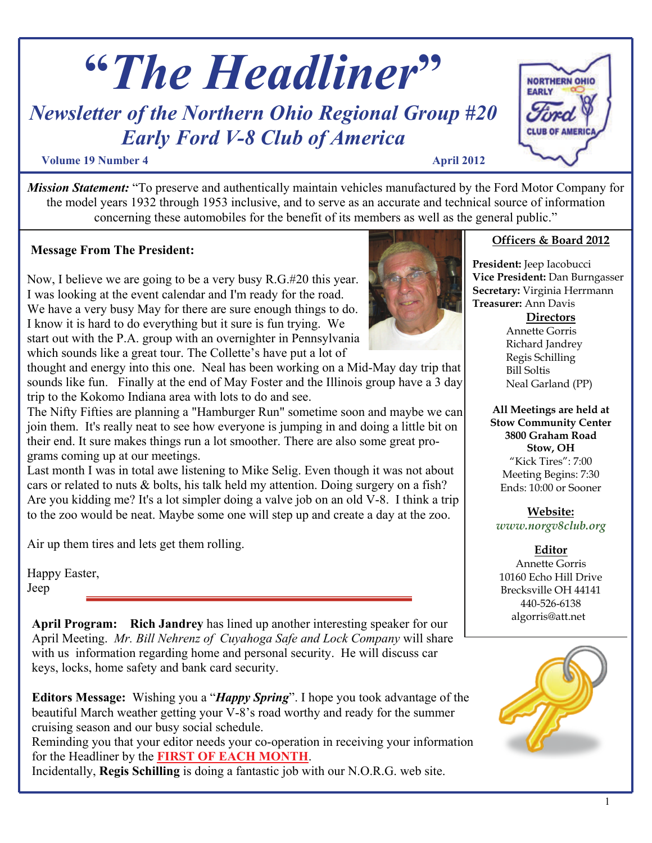

# *Early Ford V-8 Club of America*

#### **Volume 19 Number 4 April 2012**

*Mission Statement:* "To preserve and authentically maintain vehicles manufactured by the Ford Motor Company for the model years 1932 through 1953 inclusive, and to serve as an accurate and technical source of information concerning these automobiles for the benefit of its members as well as the general public."

### **Message From The President:**

Now, I believe we are going to be a very busy R.G.#20 this year. I was looking at the event calendar and I'm ready for the road. We have a very busy May for there are sure enough things to do. I know it is hard to do everything but it sure is fun trying. We start out with the P.A. group with an overnighter in Pennsylvania which sounds like a great tour. The Collette's have put a lot of

thought and energy into this one. Neal has been working on a Mid-May day trip that sounds like fun. Finally at the end of May Foster and the Illinois group have a 3 day trip to the Kokomo Indiana area with lots to do and see.

The Nifty Fifties are planning a "Hamburger Run" sometime soon and maybe we can join them. It's really neat to see how everyone is jumping in and doing a little bit on their end. It sure makes things run a lot smoother. There are also some great programs coming up at our meetings.

Last month I was in total awe listening to Mike Selig. Even though it was not about cars or related to nuts & bolts, his talk held my attention. Doing surgery on a fish? Are you kidding me? It's a lot simpler doing a valve job on an old V-8. I think a trip to the zoo would be neat. Maybe some one will step up and create a day at the zoo.

Air up them tires and lets get them rolling.

Happy Easter, Jeep

**April Program: Rich Jandrey** has lined up another interesting speaker for our April Meeting. *Mr. Bill Nehrenz of Cuyahoga Safe and Lock Company* will share with us information regarding home and personal security. He will discuss car keys, locks, home safety and bank card security.

**Editors Message:** Wishing you a "*Happy Spring*". I hope you took advantage of the beautiful March weather getting your V-8's road worthy and ready for the summer cruising season and our busy social schedule.

Reminding you that your editor needs your co-operation in receiving your information for the Headliner by the **FIRST OF EACH MONTH**.

Incidentally, **Regis Schilling** is doing a fantastic job with our N.O.R.G. web site.

# **Officers & Board 2012 President:** Jeep Iacobucci

**Vice President:** Dan Burngasser **Secretary:** Virginia Herrmann **Treasurer:** Ann Davis

**Directors**

Annette Gorris Richard Jandrey Regis Schilling Bill Soltis Neal Garland (PP)

**All Meetings are held at Stow Community Center 3800 Graham Road Stow, OH**  "Kick Tires": 7:00 Meeting Begins: 7:30 Ends: 10:00 or Sooner

**Website:** *www.norgv8club.org* 

#### **Editor**

Annette Gorris 10160 Echo Hill Drive Brecksville OH 44141 440-526-6138 algorris@att.net



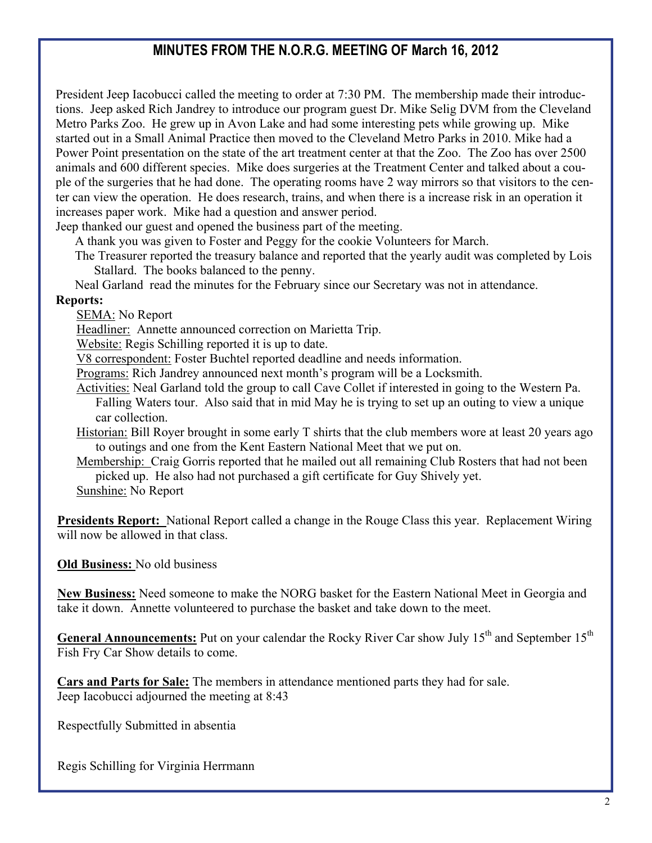# **MINUTES FROM THE N.O.R.G. MEETING OF March 16, 2012**

President Jeep Iacobucci called the meeting to order at 7:30 PM. The membership made their introductions. Jeep asked Rich Jandrey to introduce our program guest Dr. Mike Selig DVM from the Cleveland Metro Parks Zoo. He grew up in Avon Lake and had some interesting pets while growing up. Mike started out in a Small Animal Practice then moved to the Cleveland Metro Parks in 2010. Mike had a Power Point presentation on the state of the art treatment center at that the Zoo. The Zoo has over 2500 animals and 600 different species. Mike does surgeries at the Treatment Center and talked about a couple of the surgeries that he had done. The operating rooms have 2 way mirrors so that visitors to the center can view the operation. He does research, trains, and when there is a increase risk in an operation it increases paper work. Mike had a question and answer period.

Jeep thanked our guest and opened the business part of the meeting.

A thank you was given to Foster and Peggy for the cookie Volunteers for March.

The Treasurer reported the treasury balance and reported that the yearly audit was completed by Lois Stallard. The books balanced to the penny.

Neal Garland read the minutes for the February since our Secretary was not in attendance.

#### **Reports:**

SEMA: No Report

Headliner: Annette announced correction on Marietta Trip.

Website: Regis Schilling reported it is up to date.

V8 correspondent: Foster Buchtel reported deadline and needs information.

Programs: Rich Jandrey announced next month's program will be a Locksmith.

- Activities: Neal Garland told the group to call Cave Collet if interested in going to the Western Pa. Falling Waters tour. Also said that in mid May he is trying to set up an outing to view a unique car collection.
- Historian: Bill Royer brought in some early T shirts that the club members wore at least 20 years ago to outings and one from the Kent Eastern National Meet that we put on.
- Membership: Craig Gorris reported that he mailed out all remaining Club Rosters that had not been picked up. He also had not purchased a gift certificate for Guy Shively yet.
- Sunshine: No Report

**Presidents Report:** National Report called a change in the Rouge Class this year. Replacement Wiring will now be allowed in that class.

#### **Old Business:** No old business

**New Business:** Need someone to make the NORG basket for the Eastern National Meet in Georgia and take it down. Annette volunteered to purchase the basket and take down to the meet.

**General Announcements:** Put on your calendar the Rocky River Car show July 15<sup>th</sup> and September 15<sup>th</sup> Fish Fry Car Show details to come.

**Cars and Parts for Sale:** The members in attendance mentioned parts they had for sale. Jeep Iacobucci adjourned the meeting at 8:43

Respectfully Submitted in absentia

Regis Schilling for Virginia Herrmann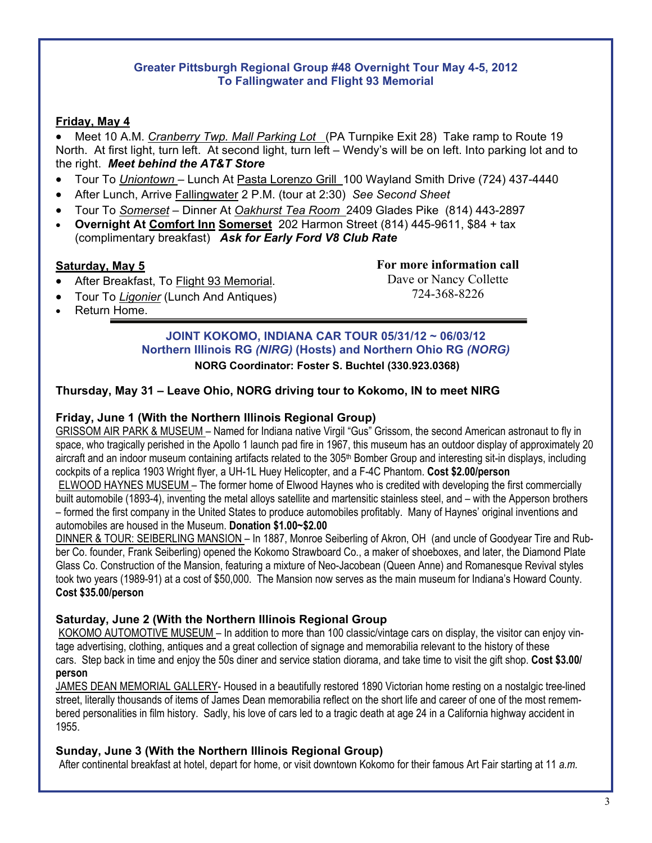#### **Greater Pittsburgh Regional Group #48 Overnight Tour May 4-5, 2012 To Fallingwater and Flight 93 Memorial**

#### **Friday, May 4**

 Meet 10 A.M. *Cranberry Twp. Mall Parking Lot* (PA Turnpike Exit 28) Take ramp to Route 19 North. At first light, turn left. At second light, turn left – Wendy's will be on left. Into parking lot and to the right. *Meet behind the AT&T Store*

- Tour To *Uniontown* Lunch At Pasta Lorenzo Grill 100 Wayland Smith Drive (724) 437-4440
- After Lunch, Arrive Fallingwater 2 P.M. (tour at 2:30) *See Second Sheet*
- Tour To *Somerset* Dinner At *Oakhurst Tea Room* 2409 Glades Pike (814) 443-2897
- **Overnight At Comfort Inn Somerset** 202 Harmon Street (814) 445-9611, \$84 + tax (complimentary breakfast) *Ask for Early Ford V8 Club Rate*

#### **Saturday, May 5**

**For more information call**  Dave or Nancy Collette 724-368-8226

- After Breakfast, To Flight 93 Memorial. Tour To *Ligonier* (Lunch And Antiques)
- Return Home.

#### **JOINT KOKOMO, INDIANA CAR TOUR 05/31/12 ~ 06/03/12 Northern Illinois RG** *(NIRG)* **(Hosts) and Northern Ohio RG** *(NORG)* **NORG Coordinator: Foster S. Buchtel (330.923.0368)**

#### **Thursday, May 31 – Leave Ohio, NORG driving tour to Kokomo, IN to meet NIRG**

#### **Friday, June 1 (With the Northern Illinois Regional Group)**

GRISSOM AIR PARK & MUSEUM *–* Named for Indiana native Virgil "Gus" Grissom, the second American astronaut to fly in space, who tragically perished in the Apollo 1 launch pad fire in 1967, this museum has an outdoor display of approximately 20 aircraft and an indoor museum containing artifacts related to the 305<sup>th</sup> Bomber Group and interesting sit-in displays, including cockpits of a replica 1903 Wright flyer, a UH-1L Huey Helicopter, and a F-4C Phantom. **Cost \$2.00/person**

ELWOOD HAYNES MUSEUM – The former home of Elwood Haynes who is credited with developing the first commercially built automobile (1893-4), inventing the metal alloys satellite and martensitic stainless steel, and – with the Apperson brothers – formed the first company in the United States to produce automobiles profitably. Many of Haynes' original inventions and automobiles are housed in the Museum. **Donation \$1.00~\$2.00**

DINNER & TOUR: SEIBERLING MANSION – In 1887, Monroe Seiberling of Akron, OH (and uncle of Goodyear Tire and Rubber Co. founder, Frank Seiberling) opened the Kokomo Strawboard Co., a maker of shoeboxes, and later, the Diamond Plate Glass Co. Construction of the Mansion, featuring a mixture of Neo-Jacobean (Queen Anne) and Romanesque Revival styles took two years (1989-91) at a cost of \$50,000. The Mansion now serves as the main museum for Indiana's Howard County. **Cost \$35.00/person** 

#### **Saturday, June 2 (With the Northern Illinois Regional Group**

KOKOMO AUTOMOTIVE MUSEUM – In addition to more than 100 classic/vintage cars on display, the visitor can enjoy vintage advertising, clothing, antiques and a great collection of signage and memorabilia relevant to the history of these cars. Step back in time and enjoy the 50s diner and service station diorama, and take time to visit the gift shop. **Cost \$3.00/ person**

JAMES DEAN MEMORIAL GALLERY- Housed in a beautifully restored 1890 Victorian home resting on a nostalgic tree-lined street, literally thousands of items of James Dean memorabilia reflect on the short life and career of one of the most remembered personalities in film history. Sadly, his love of cars led to a tragic death at age 24 in a California highway accident in 1955.

#### **Sunday, June 3 (With the Northern Illinois Regional Group)**

After continental breakfast at hotel, depart for home, or visit downtown Kokomo for their famous Art Fair starting at 11 *a.m.*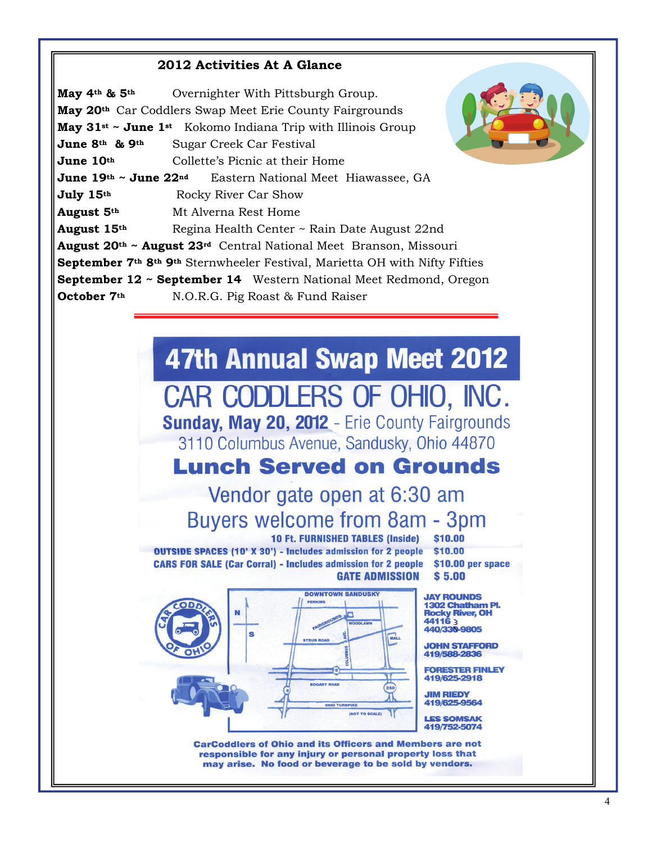#### **2012 Activities At A Glance**

**May 4th & 5th** Overnighter With Pittsburgh Group. **May 20th** Car Coddlers Swap Meet Erie County Fairgrounds **May 31st ~ June 1st** Kokomo Indiana Trip with Illinois Group **June 8th & 9th** Sugar Creek Car Festival **June 10<sup>th</sup>** Collette's Picnic at their Home **June 19th ~ June 22<sup>nd</sup>** Eastern National Meet Hiawassee, GA **July 15<sup>th</sup>** Rocky River Car Show **August 5th** Mt Alverna Rest Home **August 15th** Regina Health Center ~ Rain Date August 22nd **August 20th ~ August 23rd** Central National Meet Branson, Missouri **September 7th 8th 9th** Sternwheeler Festival, Marietta OH with Nifty Fifties **September 12 ~ September 14** Western National Meet Redmond, Oregon **October 7<sup>th</sup>** N.O.R.G. Pig Roast & Fund Raiser

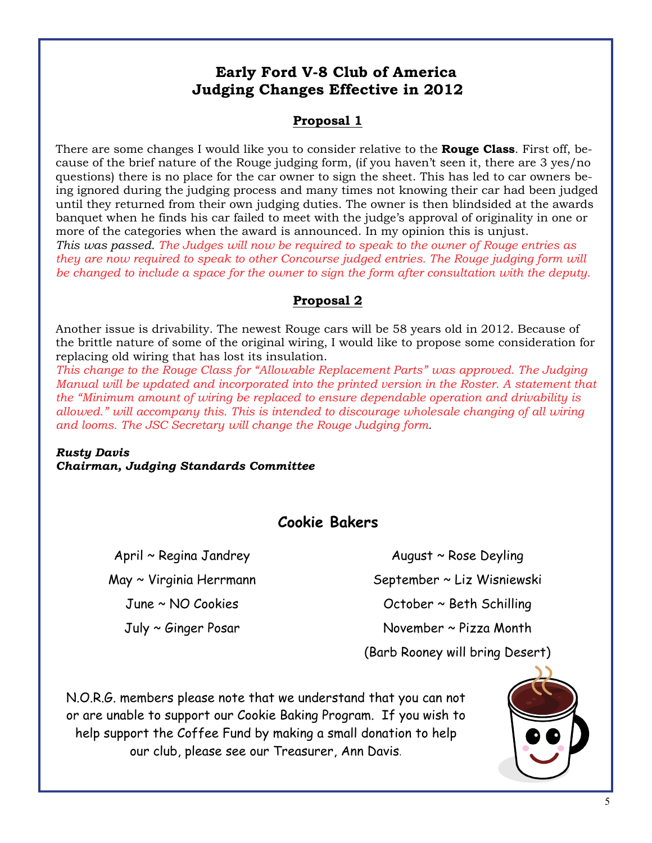# **Early Ford V-8 Club of America Judging Changes Effective in 2012**

## **Proposal 1**

There are some changes I would like you to consider relative to the **Rouge Class**. First off, because of the brief nature of the Rouge judging form, (if you haven't seen it, there are 3 yes/no questions) there is no place for the car owner to sign the sheet. This has led to car owners being ignored during the judging process and many times not knowing their car had been judged until they returned from their own judging duties. The owner is then blindsided at the awards banquet when he finds his car failed to meet with the judge's approval of originality in one or more of the categories when the award is announced. In my opinion this is unjust. *This was passed. The Judges will now be required to speak to the owner of Rouge entries as* 

*they are now required to speak to other Concourse judged entries. The Rouge judging form will be changed to include a space for the owner to sign the form after consultation with the deputy.* 

## **Proposal 2**

Another issue is drivability. The newest Rouge cars will be 58 years old in 2012. Because of the brittle nature of some of the original wiring, I would like to propose some consideration for replacing old wiring that has lost its insulation.

*This change to the Rouge Class for "Allowable Replacement Parts" was approved. The Judging Manual will be updated and incorporated into the printed version in the Roster. A statement that the "Minimum amount of wiring be replaced to ensure dependable operation and drivability is allowed." will accompany this. This is intended to discourage wholesale changing of all wiring and looms. The JSC Secretary will change the Rouge Judging form.* 

*Rusty Davis Chairman, Judging Standards Committee* 

# **Cookie Bakers**

April ~ Regina Jandrey May ~ Virginia Herrmann June ~ NO Cookies July ~ Ginger Posar

August ~ Rose Deyling September ~ Liz Wisniewski October ~ Beth Schilling November ~ Pizza Month (Barb Rooney will bring Desert)

N.O.R.G. members please note that we understand that you can not or are unable to support our Cookie Baking Program. If you wish to help support the Coffee Fund by making a small donation to help our club, please see our Treasurer, Ann Davis.